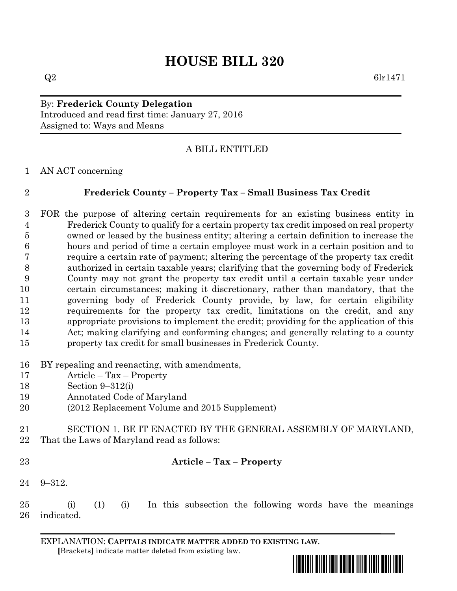# **HOUSE BILL 320**

### By: **Frederick County Delegation** Introduced and read first time: January 27, 2016 Assigned to: Ways and Means

## A BILL ENTITLED

AN ACT concerning

## **Frederick County – Property Tax – Small Business Tax Credit**

- FOR the purpose of altering certain requirements for an existing business entity in Frederick County to qualify for a certain property tax credit imposed on real property owned or leased by the business entity; altering a certain definition to increase the hours and period of time a certain employee must work in a certain position and to require a certain rate of payment; altering the percentage of the property tax credit authorized in certain taxable years; clarifying that the governing body of Frederick County may not grant the property tax credit until a certain taxable year under certain circumstances; making it discretionary, rather than mandatory, that the governing body of Frederick County provide, by law, for certain eligibility requirements for the property tax credit, limitations on the credit, and any appropriate provisions to implement the credit; providing for the application of this Act; making clarifying and conforming changes; and generally relating to a county property tax credit for small businesses in Frederick County.
- BY repealing and reenacting, with amendments,
- Article Tax Property
- Section 9–312(i)
- Annotated Code of Maryland
- (2012 Replacement Volume and 2015 Supplement)
- SECTION 1. BE IT ENACTED BY THE GENERAL ASSEMBLY OF MARYLAND, That the Laws of Maryland read as follows:
- 

#### **Article – Tax – Property**

- 9–312.
- (i) (1) (i) In this subsection the following words have the meanings indicated.

EXPLANATION: **CAPITALS INDICATE MATTER ADDED TO EXISTING LAW**.  **[**Brackets**]** indicate matter deleted from existing law.

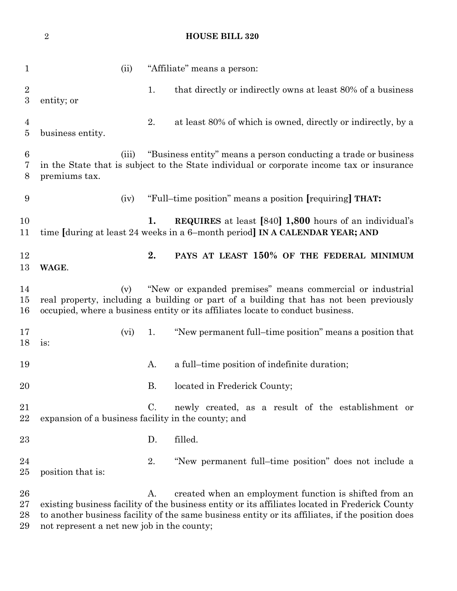(ii) "Affiliate" means a person: 2 1. that directly or indirectly owns at least 80% of a business entity; or 2. at least 80% of which is owned, directly or indirectly, by a business entity. (iii) "Business entity" means a person conducting a trade or business in the State that is subject to the State individual or corporate income tax or insurance premiums tax. (iv) "Full–time position" means a position **[**requiring**] THAT: 1. REQUIRES** at least **[**840**] 1,800** hours of an individual's time **[**during at least 24 weeks in a 6–month period**] IN A CALENDAR YEAR; AND 2. PAYS AT LEAST 150% OF THE FEDERAL MINIMUM WAGE**. (v) "New or expanded premises" means commercial or industrial real property, including a building or part of a building that has not been previously occupied, where a business entity or its affiliates locate to conduct business. (vi) 1. "New permanent full–time position" means a position that is: 19 A. a full–time position of indefinite duration; 20 B. located in Frederick County; C. newly created, as a result of the establishment or expansion of a business facility in the county; and D. filled. 2. "New permanent full–time position" does not include a position that is: 26 A. created when an employment function is shifted from an existing business facility of the business entity or its affiliates located in Frederick County to another business facility of the same business entity or its affiliates, if the position does

not represent a net new job in the county;

#### **HOUSE BILL 320**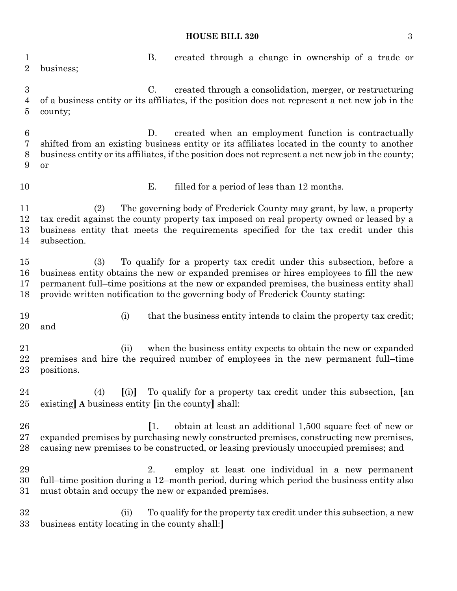### **HOUSE BILL 320** 3

| 1<br>$\overline{2}$                     | <b>B.</b><br>created through a change in ownership of a trade or<br>business;                                                                                                                                                                                                                                                                         |  |  |  |
|-----------------------------------------|-------------------------------------------------------------------------------------------------------------------------------------------------------------------------------------------------------------------------------------------------------------------------------------------------------------------------------------------------------|--|--|--|
| $\boldsymbol{3}$<br>$\overline{4}$<br>5 | $\rm C$ .<br>created through a consolidation, merger, or restructuring<br>of a business entity or its affiliates, if the position does not represent a net new job in the<br>county;                                                                                                                                                                  |  |  |  |
| $\,6$<br>7<br>8<br>9                    | created when an employment function is contractually<br>D.<br>shifted from an existing business entity or its affiliates located in the county to another<br>business entity or its affiliates, if the position does not represent a net new job in the county;<br>or                                                                                 |  |  |  |
| 10                                      | Ε.<br>filled for a period of less than 12 months.                                                                                                                                                                                                                                                                                                     |  |  |  |
| 11<br>12<br>13<br>14                    | The governing body of Frederick County may grant, by law, a property<br>(2)<br>tax credit against the county property tax imposed on real property owned or leased by a<br>business entity that meets the requirements specified for the tax credit under this<br>subsection.                                                                         |  |  |  |
| 15<br>16<br>17<br>18                    | (3)<br>To qualify for a property tax credit under this subsection, before a<br>business entity obtains the new or expanded premises or hires employees to fill the new<br>permanent full-time positions at the new or expanded premises, the business entity shall<br>provide written notification to the governing body of Frederick County stating: |  |  |  |
| 19<br>20                                | that the business entity intends to claim the property tax credit;<br>(i)<br>and                                                                                                                                                                                                                                                                      |  |  |  |
| 21<br>22<br>23                          | when the business entity expects to obtain the new or expanded<br>(ii)<br>premises and hire the required number of employees in the new permanent full-time<br>positions.                                                                                                                                                                             |  |  |  |
| 24<br>25                                | [(i)] To qualify for a property tax credit under this subsection, [an<br>(4)<br>existing A business entity [in the county] shall:                                                                                                                                                                                                                     |  |  |  |
| 26<br>27<br>28                          | $\left\lceil 1 \right\rceil$<br>obtain at least an additional 1,500 square feet of new or<br>expanded premises by purchasing newly constructed premises, constructing new premises,<br>causing new premises to be constructed, or leasing previously unoccupied premises; and                                                                         |  |  |  |
| 29<br>30<br>31                          | employ at least one individual in a new permanent<br>2.<br>full–time position during a 12–month period, during which period the business entity also<br>must obtain and occupy the new or expanded premises.                                                                                                                                          |  |  |  |
| 32<br>33                                | To qualify for the property tax credit under this subsection, a new<br>(ii)<br>business entity locating in the county shall:                                                                                                                                                                                                                          |  |  |  |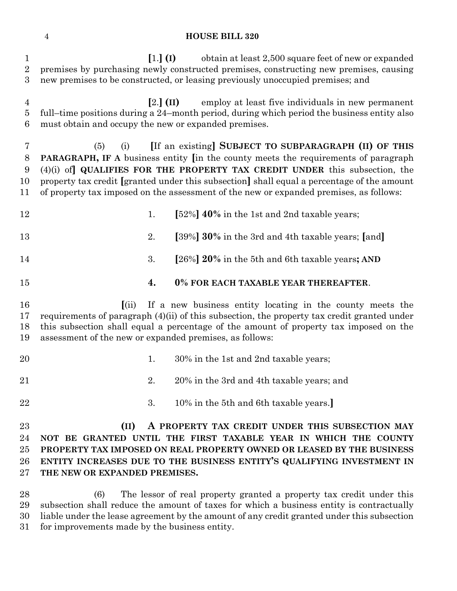#### **HOUSE BILL 320**

 **[**1.**] (I)** obtain at least 2,500 square feet of new or expanded premises by purchasing newly constructed premises, constructing new premises, causing new premises to be constructed, or leasing previously unoccupied premises; and **[**2.**] (II)** employ at least five individuals in new permanent full–time positions during a 24–month period, during which period the business entity also must obtain and occupy the new or expanded premises. (5) (i) **[**If an existing**] SUBJECT TO SUBPARAGRAPH (II) OF THIS PARAGRAPH, IF A** business entity **[**in the county meets the requirements of paragraph (4)(i) of**] QUALIFIES FOR THE PROPERTY TAX CREDIT UNDER** this subsection, the property tax credit **[**granted under this subsection**]** shall equal a percentage of the amount of property tax imposed on the assessment of the new or expanded premises, as follows: 1. **[**52%**] 40%** in the 1st and 2nd taxable years; 2. **[**39%**] 30%** in the 3rd and 4th taxable years; **[**and**]** 3. **[**26%**] 20%** in the 5th and 6th taxable years**; AND 4. 0% FOR EACH TAXABLE YEAR THEREAFTER**. **[**(ii) If a new business entity locating in the county meets the requirements of paragraph (4)(ii) of this subsection, the property tax credit granted under this subsection shall equal a percentage of the amount of property tax imposed on the assessment of the new or expanded premises, as follows: 20 1. 30% in the 1st and 2nd taxable years; 21 20% in the 3rd and 4th taxable years; and 3. 10% in the 5th and 6th taxable years.**] (II) A PROPERTY TAX CREDIT UNDER THIS SUBSECTION MAY NOT BE GRANTED UNTIL THE FIRST TAXABLE YEAR IN WHICH THE COUNTY PROPERTY TAX IMPOSED ON REAL PROPERTY OWNED OR LEASED BY THE BUSINESS ENTITY INCREASES DUE TO THE BUSINESS ENTITY'S QUALIFYING INVESTMENT IN THE NEW OR EXPANDED PREMISES.**

 (6) The lessor of real property granted a property tax credit under this subsection shall reduce the amount of taxes for which a business entity is contractually liable under the lease agreement by the amount of any credit granted under this subsection for improvements made by the business entity.